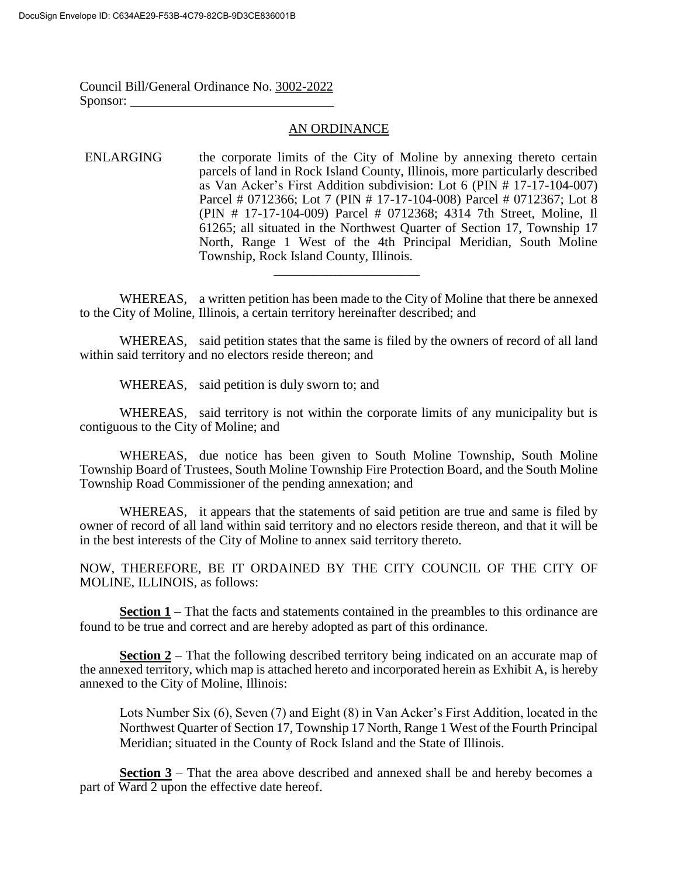Council Bill/General Ordinance No. 3002-2022 Sponsor:

## AN ORDINANCE

## ENLARGING the corporate limits of the City of Moline by annexing thereto certain parcels of land in Rock Island County, Illinois, more particularly described as Van Acker's First Addition subdivision: Lot 6 (PIN # 17-17-104-007) Parcel # 0712366; Lot 7 (PIN # 17-17-104-008) Parcel # 0712367; Lot 8 (PIN # 17-17-104-009) Parcel # 0712368; 4314 7th Street, Moline, Il 61265; all situated in the Northwest Quarter of Section 17, Township 17 North, Range 1 West of the 4th Principal Meridian, South Moline Township, Rock Island County, Illinois.

WHEREAS, a written petition has been made to the City of Moline that there be annexed to the City of Moline, Illinois, a certain territory hereinafter described; and

\_\_\_\_\_\_\_\_\_\_\_\_\_\_\_\_\_\_\_\_\_\_

WHEREAS, said petition states that the same is filed by the owners of record of all land within said territory and no electors reside thereon; and

WHEREAS, said petition is duly sworn to; and

WHEREAS, said territory is not within the corporate limits of any municipality but is contiguous to the City of Moline; and

WHEREAS, due notice has been given to South Moline Township, South Moline Township Board of Trustees, South Moline Township Fire Protection Board, and the South Moline Township Road Commissioner of the pending annexation; and

WHEREAS, it appears that the statements of said petition are true and same is filed by owner of record of all land within said territory and no electors reside thereon, and that it will be in the best interests of the City of Moline to annex said territory thereto.

NOW, THEREFORE, BE IT ORDAINED BY THE CITY COUNCIL OF THE CITY OF MOLINE, ILLINOIS, as follows:

**Section 1** – That the facts and statements contained in the preambles to this ordinance are found to be true and correct and are hereby adopted as part of this ordinance.

**Section 2** – That the following described territory being indicated on an accurate map of the annexed territory, which map is attached hereto and incorporated herein as Exhibit A, is hereby annexed to the City of Moline, Illinois:

Lots Number Six (6), Seven (7) and Eight (8) in Van Acker's First Addition, located in the Northwest Quarter of Section 17, Township 17 North, Range 1 West of the Fourth Principal Meridian; situated in the County of Rock Island and the State of Illinois.

**Section 3** – That the area above described and annexed shall be and hereby becomes a part of Ward 2 upon the effective date hereof.